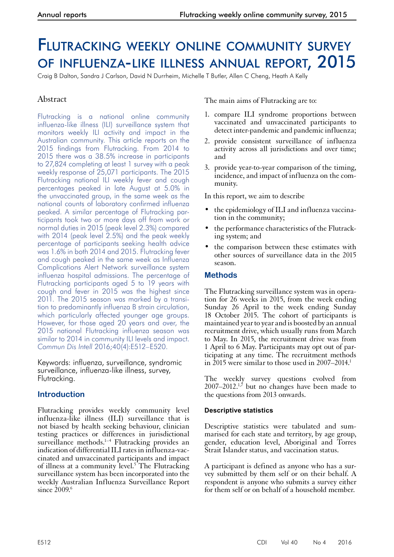# Flutracking weekly online community survey of influenza-like illness annual report, 2015

Craig B Dalton, Sandra J Carlson, David N Durrheim, Michelle T Butler, Allen C Cheng, Heath A Kelly

# Abstract

Flutracking is a national online community influenza-like illness (ILI) surveillance system that monitors weekly ILI activity and impact in the Australian community. This article reports on the 2015 findings from Flutracking. From 2014 to 2015 there was a 38.5% increase in participants to 27,824 completing at least 1 survey with a peak weekly response of 25,071 participants. The 2015 Flutracking national ILI weekly fever and cough percentages peaked in late August at 5.0% in the unvaccinated group, in the same week as the national counts of laboratory confirmed influenza peaked. A similar percentage of Flutracking participants took two or more days off from work or normal duties in 2015 (peak level 2.3%) compared with 2014 (peak level 2.5%) and the peak weekly percentage of participants seeking health advice was 1.6% in both 2014 and 2015. Flutracking fever and cough peaked in the same week as Influenza Complications Alert Network surveillance system influenza hospital admissions. The percentage of Flutracking participants aged 5 to 19 years with cough and fever in 2015 was the highest since 2011. The 2015 season was marked by a transition to predominantly influenza B strain circulation, which particularly affected younger age groups. However, for those aged 20 years and over, the 2015 national Flutracking influenza season was similar to 2014 in community ILI levels and impact. *Commun Dis Intell* 2016;40(4):E512–E520.

Keywords: influenza, surveillance, syndromic surveillance, influenza-like illness, survey, Flutracking.

# **Introduction**

Flutracking provides weekly community level influenza-like illness (ILI) surveillance that is not biased by health seeking behaviour, clinician testing practices or differences in jurisdictional surveillance methods. $1-4$  Flutracking provides an indication of differential ILI rates in influenza-vac- cinated and unvaccinated participants and impact of illness at a community level.<sup>5</sup> The Flutracking surveillance system has been incorporated into the weekly Australian Influenza Surveillance Report since 2009.<sup>6</sup>

The main aims of Flutracking are to:

- 1. compare ILI syndrome proportions between vaccinated and unvaccinated participants to detect inter-pandemic and pandemic influenza;
- 2. provide consistent surveillance of influenza activity across all jurisdictions and over time; and
- 3. provide year-to-year comparison of the timing, incidence, and impact of influenza on the com- munity.

In this report, we aim to describe

- the epidemiology of ILI and influenza vaccination in the community;
- the performance characteristics of the Flutracking system; and
- the comparison between these estimates with other sources of surveillance data in the 2015 season.

## **Methods**

The Flutracking surveillance system was in operation for 26 weeks in 2015, from the week ending Sunday 26 April to the week ending Sunday 18 October 2015. The cohort of participants is maintained year to year and is boosted by an annual recruitment drive, which usually runs from March to May. In 2015, the recruitment drive was from <sup>1</sup> April to 6 May. Participants may opt out of par- ticipating at any time. The recruitment methods in  $\overline{2015}$  were similar to those used in 2007–2014.<sup>1</sup>

The weekly survey questions evolved from  $2007-2012$ <sup>1,7</sup> but no changes have been made to the questions from 2013 onwards.

## **Descriptive statistics**

Descriptive statistics were tabulated and summarised for each state and territory, by age group, gender, education level, Aboriginal and Torres Strait Islander status, and vaccination status.

A participant is defined as anyone who has a sur- vey submitted by them self or on their behalf. A respondent is anyone who submits a survey either for them self or on behalf of a household member.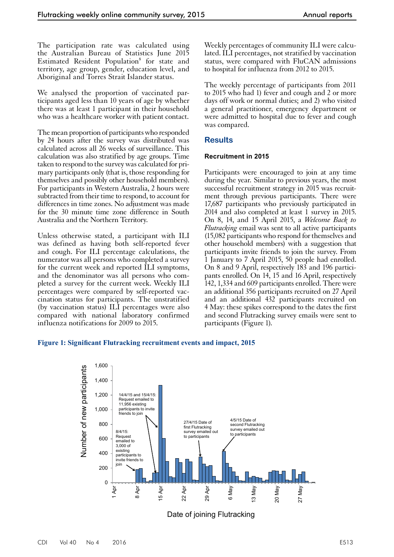The participation rate was calculated using the Australian Bureau of Statistics June 2015 Estimated Resident Population<sup>8</sup> for state and territory, age group, gender, education level, and Aboriginal and Torres Strait Islander status.

We analysed the proportion of vaccinated participants aged less than 10 years of age by whether there was at least 1 participant in their household who was a healthcare worker with patient contact.

The mean proportion of participants who responded by 24 hours after the survey was distributed was calculated across all 26 weeks of surveillance. This calculation was also stratified by age groups. Time taken to respond to the survey was calculated for primary participants only (that is, those responding for themselves and possibly other household members). For participants in Western Australia, 2 hours were subtracted from their time to respond, to account for differences in time zones. No adjustment was made for the 30 minute time zone difference in South Australia and the Northern Territory.

Unless otherwise stated, a participant with ILI was defined as having both self-reported fever and cough. For ILI percentage calculations, the numerator was all persons who completed a survey for the current week and reported ILI symptoms, and the denominator was all persons who completed a survey for the current week. Weekly ILI percentages were compared by self-reported vaccination status for participants. The unstratified (by vaccination status) ILI percentages were also compared with national laboratory confirmed influenza notifications for 2009 to 2015.

Weekly percentages of community ILI were calculated. ILI percentages, not stratified by vaccination status, were compared with FluCAN admissions to hospital for influenza from 2012 to 2015.

The weekly percentage of participants from 2011 to 2015 who had 1) fever and cough and 2 or more days off work or normal duties; and 2) who visited a general practitioner, emergency department or were admitted to hospital due to fever and cough was compared.

### **Results**

#### **Recruitment in 2015**

Participants were encouraged to join at any time during the year. Similar to previous years, the most successful recruitment strategy in 2015 was recruitment through previous participants. There were 17,687 participants who previously participated in 2014 and also completed at least 1 survey in 2015. On 8, 14, and 15 April 2015, a *Welcome Back to Flutracking* email was sent to all active participants (15,082 participants who respond for themselves and other household members) with a suggestion that participants invite friends to join the survey. From 1 January to 7 April 2015, 50 people had enrolled. On 8 and 9 April, respectively 183 and 196 participants enrolled. On 14, 15 and 16 April, respectively 142, 1,334 and 609 participants enrolled. There were an additional 356 participants recruited on 27 April and an additional 432 participants recruited on 4 May: these spikes correspond to the dates the first and second Flutracking survey emails were sent to participants (Figure 1).

#### **Figure 1: Significant Flutracking recruitment events and impact, 2015**



Date of joining Flutracking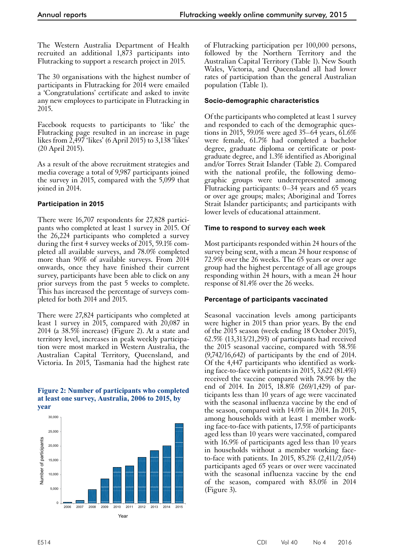The Western Australia Department of Health recruited an additional 1,873 participants into Flutracking to support a research project in 2015.

The 30 organisations with the highest number of participants in Flutracking for 2014 were emailed a 'Congratulations' certificate and asked to invite any new employees to participate in Flutracking in 2015.

Facebook requests to participants to 'like' the Flutracking page resulted in an increase in page likes from 2,497 'likes' (6 April 2015) to 3,138 'likes' (20 April 2015).

As a result of the above recruitment strategies and media coverage a total of 9,987 participants joined the survey in 2015, compared with the 5,099 that joined in 2014.

## **Participation in 2015**

There were 16,707 respondents for 27,828 participants who completed at least 1 survey in 2015. Of the 26,224 participants who completed a survey during the first 4 survey weeks of 2015, 59.1% completed all available surveys, and 78.0% completed more than 90% of available surveys. From 2014 onwards, once they have finished their current survey, participants have been able to click on any prior surveys from the past 5 weeks to complete. This has increased the percentage of surveys completed for both 2014 and 2015.

There were 27,824 participants who completed at least 1 survey in 2015, compared with  $20,087$  in 2014 (a 38.5% increase) (Figure 2). At a state and territory level, increases in peak weekly participa- tion were most marked in Western Australia, the Australian Capital Territory, Queensland, and Victoria. In 2015, Tasmania had the highest rate

#### **Figure 2: Number of participants who completed at least one survey, Australia, 2006 to 2015, by year**



of Flutracking participation per 100,000 persons, followed by the Northern Territory and the Australian Capital Territory (Table 1). New South Wales, Victoria, and Queensland all had lower rates of participation than the general Australian population (Table 1).

# **Socio-demographic characteristics**

Of the participants who completed at least 1 survey and responded to each of the demographic questions in 2015, 59.0% were aged 35–64 years, 61.6% were female, 61.7% had completed a bachelor degree, graduate diploma or certificate or postgraduate degree, and 1.3% identified as Aboriginal and/or Torres Strait Islander (Table 2). Compared with the national profile, the following demographic groups were underrepresented among Flutracking participants: 0–34 years and 65 years or over age groups; males; Aboriginal and Torres Strait Islander participants; and participants with lower levels of educational attainment.

# **Time to respond to survey each week**

Most participants responded within 24 hours of the survey being sent, with a mean 24 hour response of 72.9% over the 26 weeks. The 65 years or over age group had the highest percentage of all age groups responding within 24 hours, with a mean 24 hour response of 81.4% over the 26 weeks.

# **Percentage of participants vaccinated**

Seasonal vaccination levels among participants were higher in 2015 than prior years. By the end of the 2015 season (week ending 18 October 2015), 62.5% (13,313/21,293) of participants had received the 2015 seasonal vaccine, compared with 58.5% (9,742/16,642) of participants by the end of 2014. Of the 4,447 participants who identified as work- ing face-to-face with patients in 2015, 3,622 (81.4%) received the vaccine compared with 78.9% by the end of 2014. In 2015, 18.8% (269/1,429) of participants less than 10 years of age were vaccinated with the seasonal influenza vaccine by the end of the season, compared with 14.0% in 2014. In 2015, among households with at least 1 member working face-to-face with patients, 17.5% of participants aged less than 10 years were vaccinated, compared with 16.9% of participants aged less than 10 years in households without a member working faceto-face with patients. In 2015, 85.2% (2,411/2,054) participants aged 65 years or over were vaccinated with the seasonal influenza vaccine by the end of the season, compared with 83.0% in 2014 (Figure 3).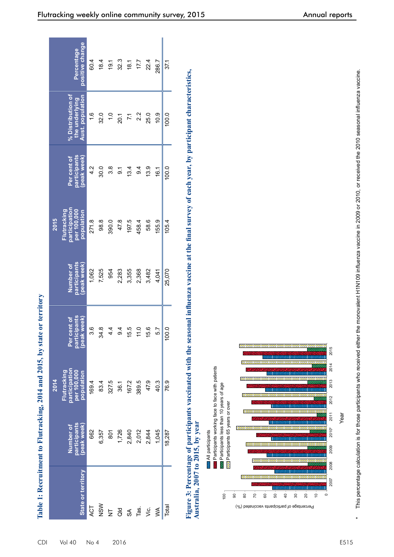| participation<br>per 100,000<br>Flutracking<br>population<br>271.8<br>98.8<br>participants<br>peak week)<br>Number of<br>1,062<br>7,525 | participants<br>Per cent of |                                                         |                               |
|-----------------------------------------------------------------------------------------------------------------------------------------|-----------------------------|---------------------------------------------------------|-------------------------------|
|                                                                                                                                         | (peak week)                 | % Distribution of<br>Aust. population<br>the underlying | positive change<br>Percentage |
|                                                                                                                                         | 4.2                         | $\frac{6}{1}$                                           | 604                           |
|                                                                                                                                         | 30.0                        | 32.0                                                    | 18.4                          |
| 390.0<br>954                                                                                                                            | 3.8                         | 1.0                                                     | 19.1                          |
| 47.8<br>2,283                                                                                                                           | $\overline{5}$              | 20.1                                                    | 32.3                          |
| 197.5<br>3,355                                                                                                                          | 13.4                        | $\overline{71}$                                         | 18.1                          |
| 458.4<br>2,368                                                                                                                          | 9.4                         | 2.2                                                     | 17.7                          |
| 58.6<br>3,482                                                                                                                           | 13.9                        | 25.0                                                    | 22.4                          |
| 155.9<br>4,041                                                                                                                          | 161                         | 10.9                                                    | 286.7                         |
| 105.4<br>25,070                                                                                                                         | 100.0                       | 100.0                                                   | 37,1                          |
|                                                                                                                                         |                             |                                                         |                               |



This percentage calculation is for those participants who received either the monovalent H1N109 influenza vaccine in 2009 or 2010, or received the 2010 seasonal influenza vaccine. \* This percentage calculation is for those participants who received either the monovalent H1N109 influenza vaccine in 2009 or 2010, or received the 2010 seasonal influenza vaccine. $\overline{1}$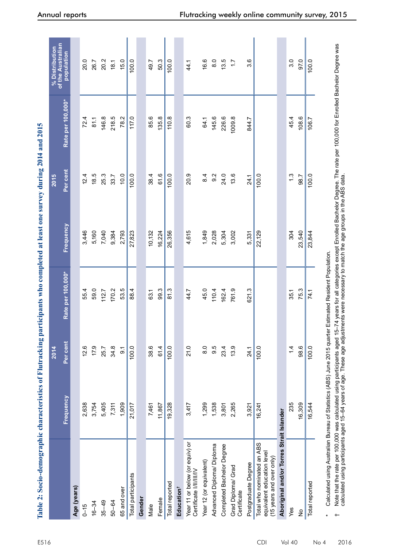| $2014 \text{ cm}$                                            |
|--------------------------------------------------------------|
|                                                              |
|                                                              |
|                                                              |
|                                                              |
|                                                              |
|                                                              |
|                                                              |
|                                                              |
|                                                              |
|                                                              |
|                                                              |
|                                                              |
|                                                              |
|                                                              |
|                                                              |
|                                                              |
|                                                              |
| ĺ                                                            |
|                                                              |
|                                                              |
|                                                              |
|                                                              |
|                                                              |
|                                                              |
|                                                              |
|                                                              |
|                                                              |
|                                                              |
|                                                              |
|                                                              |
| l                                                            |
|                                                              |
|                                                              |
|                                                              |
|                                                              |
| Ŋ                                                            |
|                                                              |
|                                                              |
|                                                              |
|                                                              |
|                                                              |
|                                                              |
|                                                              |
|                                                              |
|                                                              |
|                                                              |
|                                                              |
|                                                              |
|                                                              |
| racter                                                       |
|                                                              |
|                                                              |
|                                                              |
|                                                              |
|                                                              |
| l                                                            |
|                                                              |
| Ċ                                                            |
|                                                              |
|                                                              |
| $\ddot{\phantom{0}}$                                         |
|                                                              |
| i                                                            |
|                                                              |
|                                                              |
| ֖֖֖֖֧ׅ֧֪ׅ֖֧֧֪֪֪ׅ֖֧֪֪ׅ֚֚֚֚֚֚֚֚֚֚֚֚֚֚֚֚֚֚֚֚֚֚֚֚֚֚֚֚֚֡֝֝֝֝֝֓֞֝֝ |
|                                                              |

|                                                                                      |                  | 2014              |                                |           | 2015     |                   | of the Australian<br>% Distribution |
|--------------------------------------------------------------------------------------|------------------|-------------------|--------------------------------|-----------|----------|-------------------|-------------------------------------|
|                                                                                      | <b>Frequency</b> | Per cent          | Rate per 100,000*              | Frequency | Per cent | Rate per 100,000* | population                          |
| Age (years)                                                                          |                  |                   |                                |           |          |                   |                                     |
| $0 - 15$                                                                             | 2,638            | 12.6              | 55.4                           | 3,446     | 12.4     | 72.4              | 20.0                                |
| $16 - 34$                                                                            | 3,754            | 17.9              | 59.0                           | 5,160     | 18.5     | 81.1              | 26.7                                |
| $35 - 49$                                                                            | 5,405            | 25.7              | 112.7                          | 7,040     | 25.3     | 146.8             | 20.2                                |
| $50 - 64$                                                                            | 7,311            | 34.8              | 170.2                          | 9,384     | 33.7     | 218.5             | 18.1                                |
| 65 and over                                                                          | 1,909            | $\overline{5}$    | 53.5                           | 2,793     | 10.0     | 78.2              | 15.0                                |
| Total participants                                                                   | 21,017           | 100.0             | 88.4                           | 27,823    | 100.0    | 117.0             | 100.0                               |
| Gender                                                                               |                  |                   |                                |           |          |                   |                                     |
| Male                                                                                 | 7,461            | 38.6              | 63.1                           | 10,132    | 38.4     | 85.6              | 49.7                                |
| Female                                                                               | 11,867           | 61.4              | 99.3                           | 16,224    | 61.6     | 135.8             | 50.3                                |
| Total reported                                                                       | 19,328           | 100.0             | 81.3                           | 26,356    | 100.0    | 110.8             | 100.0                               |
| Education <sup>t</sup>                                                               |                  |                   |                                |           |          |                   |                                     |
| Year 11 or below (or equiv) or<br>Certificate I/II/III/IV                            | 3,417            | 21.0              | 44.7                           | 4,615     | 20.9     | 60.3              | 44.1                                |
| Year 12 (or equivalent)                                                              | 1,299            | $\overline{8}$ .0 | 45.0                           | 1,849     | 8.4      | 64.1              | 16.6                                |
| Advanced Diploma/ Diploma                                                            | 1,538            | 9.5               | 110.4                          | 2,028     | 9.2      | 145.6             | $\frac{0}{8}$                       |
| Completed Bachelor Degree                                                            | 3,801            | 23.4              | 162.4                          | 5,304     | 24.0     | 226.6             | 13.5                                |
| Grad Diploma/ Grad<br>Certificate                                                    | 2,265            | 13.9              | 761.9                          | 3,002     | 13.6     | 1009.8            | $\ddot{ }$ :                        |
| Postgraduate Degree                                                                  | 3,921            | 24.1              | 621.3                          | 5,331     | 24.1     | 844.7             | 3.6                                 |
| Total who nominated an ABS<br>equivalent education level<br>(15 years and over only) | 16,241           | 100.0             |                                | 22,129    | 100.0    |                   |                                     |
| Aboriginal and/or Torres Strait Islander                                             |                  |                   |                                |           |          |                   |                                     |
| Yes                                                                                  | 235              | $1\overline{4}$   | 35.1                           | 304       | 1.3      | 45.4              | 3.0                                 |
| $\frac{1}{2}$                                                                        | 16,309           | 98.6              | 75.3                           | 23,540    | 98.7     | 108.6             | 97.0                                |
| Total reported                                                                       | 16,544           | 100.0             | 74.1                           | 23,844    | 100.0    | 106.7             | 100.0                               |
| Calculated using Australian Bureau of Statistics (ABS) June 2015 quarter<br>$\ast$   |                  |                   | Estimated Resident Population. |           |          |                   |                                     |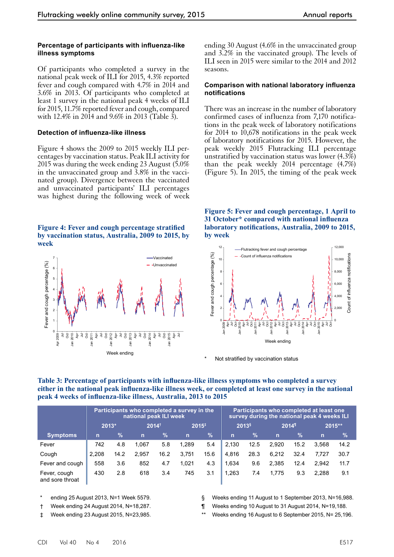#### **Percentage of participants with influenza-like illness symptoms**

Of participants who completed a survey in the national peak week of ILI for 2015, 4.3% reported fever and cough compared with 4.7% in 2014 and 3.6% in 2013. Of participants who completed at least 1 survey in the national peak 4 weeks of ILI for 2015, 11.7% reported fever and cough, compared with 12.4% in 2014 and 9.6% in 2013 (Table 3).

#### **Detection of influenza-like illness**

Figure 4 shows the 2009 to 2015 weekly ILI percentages by vaccination status. Peak ILI activity for 2015 was during the week ending 23 August (5.0% in the unvaccinated group and 3.8% in the vaccinated group). Divergence between the vaccinated and unvaccinated participants' ILI percentages was highest during the following week of week

#### **Figure 4: Fever and cough percentage stratified by vaccination status, Australia, 2009 to 2015, by week**



ending 30 August (4.6% in the unvaccinated group and 3.2% in the vaccinated group). The levels of ILI seen in 2015 were similar to the 2014 and 2012 seasons.

#### **Comparison with national laboratory influenza notifications**

There was an increase in the number of laboratory confirmed cases of influenza from 7,170 notifications in the peak week of laboratory notifications for 2014 to 10,678 notifications in the peak week of laboratory notifications for 2015. However, the peak weekly 2015 Flutracking ILI percentage unstratified by vaccination status was lower (4.3%) than the peak weekly 2014 percentage (4.7%) (Figure 5). In 2015, the timing of the peak week

**Figure 5: Fever and cough percentage, 1 April to 31 October\* compared with national influenza laboratory notifications, Australia, 2009 to 2015, by week**



Not stratified by vaccination status

| Table 3: Percentage of participants with influenza-like illness symptoms who completed a survey           |
|-----------------------------------------------------------------------------------------------------------|
| either in the national peak influenza-like illness week, or completed at least one survey in the national |
| peak 4 weeks of influenza-like illness, Australia, 2013 to 2015                                           |

|                                 | Participants who completed a survey in the<br>national peak ILI week |               |                  |      |              |               | Participants who completed at least one<br>survey during the national peak 4 weeks ILI |               |                   |               |             |      |
|---------------------------------|----------------------------------------------------------------------|---------------|------------------|------|--------------|---------------|----------------------------------------------------------------------------------------|---------------|-------------------|---------------|-------------|------|
|                                 | 2013*                                                                |               | $2014^{\dagger}$ |      | $2015^{+}$   |               | 2013 <sup>§</sup>                                                                      |               | 2014 <sup>1</sup> |               | 2015**      |      |
| <b>Symptoms</b>                 | $\mathsf{n}$                                                         | $\frac{9}{6}$ | $\overline{n}$   | $\%$ | $\mathsf{n}$ | $\frac{1}{2}$ | $\mathbf n$                                                                            | $\frac{9}{6}$ | $\mathsf{n}$      | $\frac{9}{6}$ | $\mathbf n$ | $\%$ |
| Fever                           | 742                                                                  | 4.8           | 1.067            | 5.8  | 1.289        | 5.4           | 2.130                                                                                  | 12.5          | 2.920             | 15.2          | 3.568       | 14.2 |
| Cough                           | 2.208                                                                | 14.2          | 2,957            | 16.2 | 3,751        | 15.6          | 4.816                                                                                  | 28.3          | 6,212             | 32.4          | 7.727       | 30.7 |
| Fever and cough                 | 558                                                                  | 3.6           | 852              | 4.7  | 1.021        | 4.3           | 1.634                                                                                  | 9.6           | 2.385             | 12.4          | 2.942       | 11.7 |
| Fever, cough<br>and sore throat | 430                                                                  | 2.8           | 618              | 3.4  | 745          | 3.1           | 1,263                                                                                  | 7.4           | 1.775             | 9.3           | 2.288       | 9.1  |

- ending 25 August 2013, N=1 Week 5579.
- † Week ending 24 August 2014, N=18,287.
- ‡ Week ending 23 August 2015, N=23,985.
- § Weeks ending 11 August to 1 September 2013, N=16,988.
- ¶ Weeks ending 10 August to 31 August 2014, N=19,188.
- Weeks ending 16 August to 6 September 2015, N= 25,196.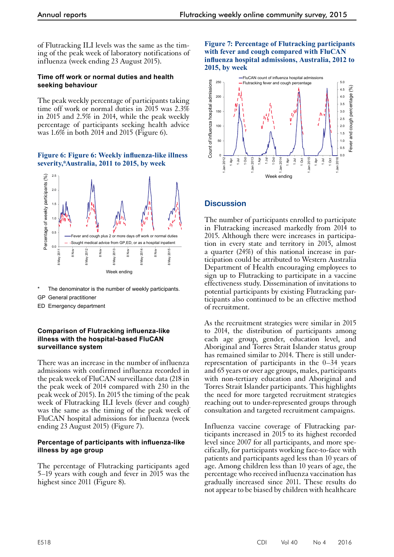of Flutracking ILI levels was the same as the timing of the peak week of laboratory notifications of influenza (week ending 23 August 2015).

#### **Time off work or normal duties and health seeking behaviour**

The peak weekly percentage of participants taking time off work or normal duties in 2015 was 2.3% in 2015 and 2.5% in 2014, while the peak weekly percentage of participants seeking health advice was 1.6% in both 2014 and 2015 (Figure 6).

#### **Figure 6: Figure 6: Weekly influenza-like illness severity,\*Australia, 2011 to 2015, by week**



The denominator is the number of weekly participants.

GP General practitioner

ED Emergency department

#### **Comparison of Flutracking influenza-like illness with the hospital-based FluCAN surveillance system**

There was an increase in the number of influenza admissions with confirmed influenza recorded in the peak week of FluCAN surveillance data (218 in the peak week of 2014 compared with 230 in the peak week of 2015). In 2015 the timing of the peak week of Flutracking ILI levels (fever and cough) was the same as the timing of the peak week of FluCAN hospital admissions for influenza (week ending 23 August 2015) (Figure 7).

#### **Percentage of participants with influenza-like illness by age group**

The percentage of Flutracking participants aged 5–19 years with cough and fever in 2015 was the highest since 2011 (Figure 8).

#### **Figure 7: Percentage of Flutracking participants with fever and cough compared with FluCAN influenza hospital admissions, Australia, 2012 to 2015, by week**



# **Discussion**

The number of participants enrolled to participate in Flutracking increased markedly from 2014 to 2015. Although there were increases in participation in every state and territory in 2015, almost a quarter (24%) of this national increase in participation could be attributed to Western Australia Department of Health encouraging employees to sign up to Flutracking to participate in a vaccine effectiveness study. Dissemination of invitations to potential participants by existing Flutracking participants also continued to be an effective method of recruitment.

As the recruitment strategies were similar in 2015 to 2014, the distribution of participants among each age group, gender, education level, and Aboriginal and Torres Strait Islander status group has remained similar to 2014. There is still underrepresentation of participants in the 0–34 years and 65 years or over age groups, males, participants with non-tertiary education and Aboriginal and Torres Strait Islander participants. This highlights the need for more targeted recruitment strategies reaching out to under-represented groups through consultation and targeted recruitment campaigns.

Influenza vaccine coverage of Flutracking participants increased in 2015 to its highest recorded level since 2007 for all participants, and more spe- cifically, for participants working face-to-face with patients and participants aged less than 10 years of age. Among children less than 10 years of age, the percentage who received influenza vaccination has gradually increased since 2011. These results do not appear to be biased by children with healthcare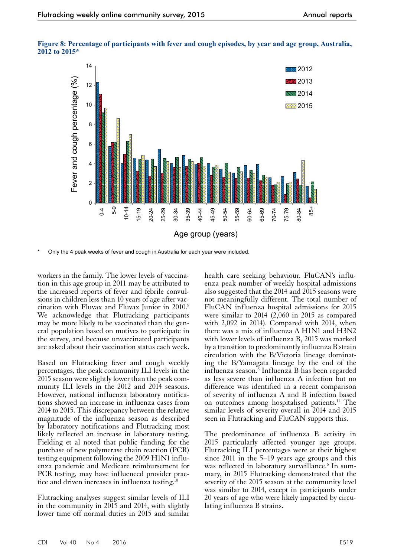



Only the 4 peak weeks of fever and cough in Australia for each year were included.

workers in the family. The lower levels of vaccination in this age group in 2011 may be attributed to the increased reports of fever and febrile convulsions in children less than 10 years of age after vaccination with Fluvax and Fluvax Junior in 2010.<sup>9</sup> We acknowledge that Flutracking participants may be more likely to be vaccinated than the gen- eral population based on motives to participate in the survey, and because unvaccinated participants are asked about their vaccination status each week.

Based on Flutracking fever and cough weekly percentages, the peak community ILI levels in the 2015 season were slightly lower than the peak com- munity ILI levels in the 2012 and 2014 seasons. However, national influenza laboratory notifications showed an increase in influenza cases from 2014 to 2015. This discrepancy between the relative magnitude of the influenza season as described by laboratory notifications and Flutracking most likely reflected an increase in laboratory testing. Fielding et al noted that public funding for the purchase of new polymerase chain reaction (PCR) testing equipment following the 2009 H1N1 influ- enza pandemic and Medicare reimbursement for PCR testing, may have influenced provider practice and driven increases in influenza testing.<sup>10</sup>

Flutracking analyses suggest similar levels of ILI in the community in 2015 and 2014, with slightly lower time off normal duties in 2015 and similar

health care seeking behaviour. FluCAN's influenza peak number of weekly hospital admissions also suggested that the 2014 and 2015 seasons were not meaningfully different. The total number of FluCAN influenza hospital admissions for 2015 were similar to 2014 (2,060 in 2015 as compared with 2,092 in 2014). Compared with 2014, when there was a mix of influenza A H1N1 and H3N2 with lower levels of influenza B, 2015 was marked by a transition to predominantly influenza B strain circulation with the B/Victoria lineage dominat- ing the B/Yamagata lineage by the end of the influenza season.6 Influenza B has been regarded as less severe than influenza A infection but no difference was identified in a recent comparison of severity of influenza A and B infection based on outcomes among hospitalised patients.11 The similar levels of severity overall in 2014 and 2015 seen in Flutracking and FluCAN supports this.

The predominance of influenza B activity in 2015 particularly affected younger age groups. Flutracking ILI percentages were at their highest since 2011 in the 5–19 years age groups and this was reflected in laboratory surveillance.<sup>6</sup> In summary, in 2015 Flutracking demonstrated that the severity of the 2015 season at the community level was similar to 2014, except in participants under 20 years of age who were likely impacted by circulating influenza B strains.